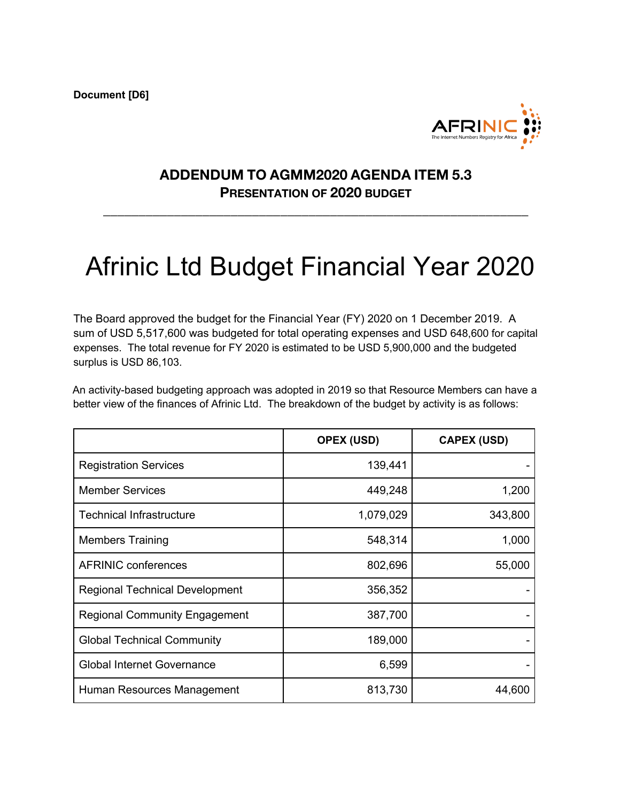**Document [D6]**



## **ADDENDUM TO AGMM2020 AGENDA ITEM 5.3 PRESENTATION OF 2020 BUDGET**

**\_\_\_\_\_\_\_\_\_\_\_\_\_\_\_\_\_\_\_\_\_\_\_\_\_\_\_\_\_\_\_\_\_\_\_\_\_\_\_\_\_\_\_\_\_\_\_\_\_\_\_\_\_\_\_\_\_\_\_\_**

## Afrinic Ltd Budget Financial Year 2020

The Board approved the budget for the Financial Year (FY) 2020 on 1 December 2019. A sum of USD 5,517,600 was budgeted for total operating expenses and USD 648,600 for capital expenses. The total revenue for FY 2020 is estimated to be USD 5,900,000 and the budgeted surplus is USD 86,103.

An activity-based budgeting approach was adopted in 2019 so that Resource Members can have a better view of the finances of Afrinic Ltd. The breakdown of the budget by activity is as follows:

|                                       | <b>OPEX (USD)</b> | <b>CAPEX (USD)</b> |
|---------------------------------------|-------------------|--------------------|
| <b>Registration Services</b>          | 139,441           |                    |
| <b>Member Services</b>                | 449,248           | 1,200              |
| <b>Technical Infrastructure</b>       | 1,079,029         | 343,800            |
| <b>Members Training</b>               | 548,314           | 1,000              |
| <b>AFRINIC conferences</b>            | 802,696           | 55,000             |
| <b>Regional Technical Development</b> | 356,352           |                    |
| <b>Regional Community Engagement</b>  | 387,700           |                    |
| <b>Global Technical Community</b>     | 189,000           |                    |
| <b>Global Internet Governance</b>     | 6,599             |                    |
| Human Resources Management            | 813,730           | 44,600             |